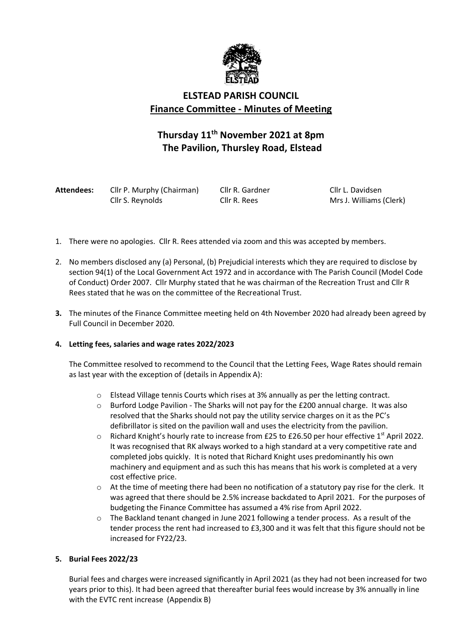

## **ELSTEAD PARISH COUNCIL Finance Committee - Minutes of Meeting**

# **Thursday 11th November 2021 at 8pm The Pavilion, Thursley Road, Elstead**

| Attendees: | Cllr P. Murphy (Chairman) | Cllr  |
|------------|---------------------------|-------|
|            | Cllr S. Reynolds          | Cllr. |

R. Gardner **Cllr L. Davidsen** R. Rees Mrs J. Williams (Clerk)

- 1. There were no apologies. Cllr R. Rees attended via zoom and this was accepted by members.
- 2. No members disclosed any (a) Personal, (b) Prejudicial interests which they are required to disclose by section 94(1) of the Local Government Act 1972 and in accordance with The Parish Council (Model Code of Conduct) Order 2007. Cllr Murphy stated that he was chairman of the Recreation Trust and Cllr R Rees stated that he was on the committee of the Recreational Trust.
- **3.** The minutes of the Finance Committee meeting held on 4th November 2020 had already been agreed by Full Council in December 2020.

#### **4. Letting fees, salaries and wage rates 2022/2023**

The Committee resolved to recommend to the Council that the Letting Fees, Wage Rates should remain as last year with the exception of (details in Appendix A):

- o Elstead Village tennis Courts which rises at 3% annually as per the letting contract.
- $\circ$  Burford Lodge Pavilion The Sharks will not pay for the £200 annual charge. It was also resolved that the Sharks should not pay the utility service charges on it as the PC's defibrillator is sited on the pavilion wall and uses the electricity from the pavilion.
- $\circ$  Richard Knight's hourly rate to increase from £25 to £26.50 per hour effective 1<sup>st</sup> April 2022. It was recognised that RK always worked to a high standard at a very competitive rate and completed jobs quickly. It is noted that Richard Knight uses predominantly his own machinery and equipment and as such this has means that his work is completed at a very cost effective price.
- o At the time of meeting there had been no notification of a statutory pay rise for the clerk. It was agreed that there should be 2.5% increase backdated to April 2021. For the purposes of budgeting the Finance Committee has assumed a 4% rise from April 2022.
- $\circ$  The Backland tenant changed in June 2021 following a tender process. As a result of the tender process the rent had increased to £3,300 and it was felt that this figure should not be increased for FY22/23.

#### **5. Burial Fees 2022/23**

Burial fees and charges were increased significantly in April 2021 (as they had not been increased for two years prior to this). It had been agreed that thereafter burial fees would increase by 3% annually in line with the EVTC rent increase (Appendix B)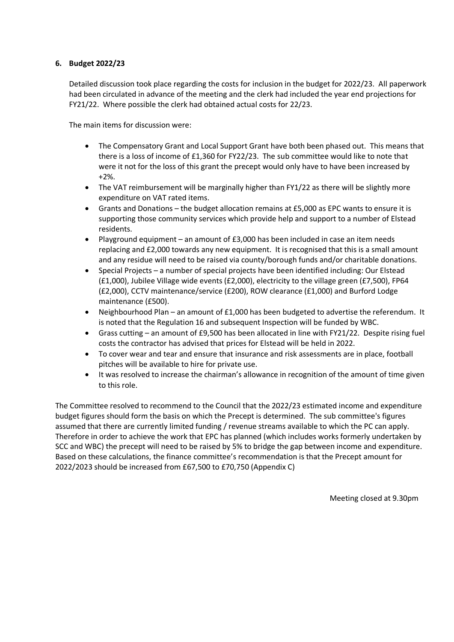#### **6. Budget 2022/23**

Detailed discussion took place regarding the costs for inclusion in the budget for 2022/23. All paperwork had been circulated in advance of the meeting and the clerk had included the year end projections for FY21/22. Where possible the clerk had obtained actual costs for 22/23.

The main items for discussion were:

- The Compensatory Grant and Local Support Grant have both been phased out. This means that there is a loss of income of £1,360 for FY22/23. The sub committee would like to note that were it not for the loss of this grant the precept would only have to have been increased by +2%.
- The VAT reimbursement will be marginally higher than FY1/22 as there will be slightly more expenditure on VAT rated items.
- Grants and Donations the budget allocation remains at £5,000 as EPC wants to ensure it is supporting those community services which provide help and support to a number of Elstead residents.
- Playground equipment an amount of £3,000 has been included in case an item needs replacing and £2,000 towards any new equipment. It is recognised that this is a small amount and any residue will need to be raised via county/borough funds and/or charitable donations.
- Special Projects a number of special projects have been identified including: Our Elstead (£1,000), Jubilee Village wide events (£2,000), electricity to the village green (£7,500), FP64 (£2,000), CCTV maintenance/service (£200), ROW clearance (£1,000) and Burford Lodge maintenance (£500).
- Neighbourhood Plan an amount of £1,000 has been budgeted to advertise the referendum. It is noted that the Regulation 16 and subsequent Inspection will be funded by WBC.
- Grass cutting an amount of £9,500 has been allocated in line with FY21/22. Despite rising fuel costs the contractor has advised that prices for Elstead will be held in 2022.
- To cover wear and tear and ensure that insurance and risk assessments are in place, football pitches will be available to hire for private use.
- It was resolved to increase the chairman's allowance in recognition of the amount of time given to this role.

The Committee resolved to recommend to the Council that the 2022/23 estimated income and expenditure budget figures should form the basis on which the Precept is determined. The sub committee's figures assumed that there are currently limited funding / revenue streams available to which the PC can apply. Therefore in order to achieve the work that EPC has planned (which includes works formerly undertaken by SCC and WBC) the precept will need to be raised by 5% to bridge the gap between income and expenditure. Based on these calculations, the finance committee's recommendation is that the Precept amount for 2022/2023 should be increased from £67,500 to £70,750 (Appendix C)

Meeting closed at 9.30pm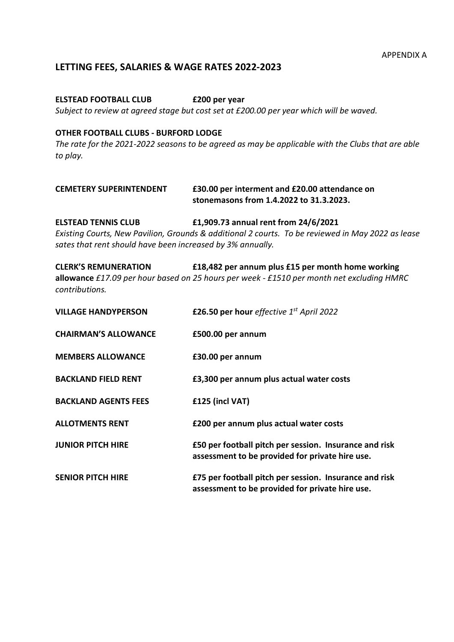#### **LETTING FEES, SALARIES & WAGE RATES 2022-2023**

#### **ELSTEAD FOOTBALL CLUB £200 per year**

*Subject to review at agreed stage but cost set at £200.00 per year which will be waved.* 

#### **OTHER FOOTBALL CLUBS - BURFORD LODGE**

*The rate for the 2021-2022 seasons to be agreed as may be applicable with the Clubs that are able to play.*

| <b>CEMETERY SUPERINTENDENT</b> | £30.00 per interment and £20.00 attendance on |  |
|--------------------------------|-----------------------------------------------|--|
|                                | stonemasons from 1.4.2022 to 31.3.2023.       |  |

**ELSTEAD TENNIS CLUB £1,909.73 annual rent from 24/6/2021** *Existing Courts, New Pavilion, Grounds & additional 2 courts. To be reviewed in May 2022 as lease sates that rent should have been increased by 3% annually.* 

| <b>CLERK'S REMUNERATION</b> | £18,482 per annum plus £15 per month home working                                                |
|-----------------------------|--------------------------------------------------------------------------------------------------|
|                             | <b>allowance</b> £17.09 per hour based on 25 hours per week - £1510 per month net excluding HMRC |
| contributions.              |                                                                                                  |

| <b>VILLAGE HANDYPERSON</b>  | £26.50 per hour effective 1st April 2022                                                                  |
|-----------------------------|-----------------------------------------------------------------------------------------------------------|
| <b>CHAIRMAN'S ALLOWANCE</b> | £500.00 per annum                                                                                         |
| <b>MEMBERS ALLOWANCE</b>    | £30.00 per annum                                                                                          |
| <b>BACKLAND FIELD RENT</b>  | £3,300 per annum plus actual water costs                                                                  |
| <b>BACKLAND AGENTS FEES</b> | £125 (incl VAT)                                                                                           |
| <b>ALLOTMENTS RENT</b>      | £200 per annum plus actual water costs                                                                    |
| <b>JUNIOR PITCH HIRE</b>    | £50 per football pitch per session. Insurance and risk<br>assessment to be provided for private hire use. |
| <b>SENIOR PITCH HIRE</b>    | £75 per football pitch per session. Insurance and risk<br>assessment to be provided for private hire use. |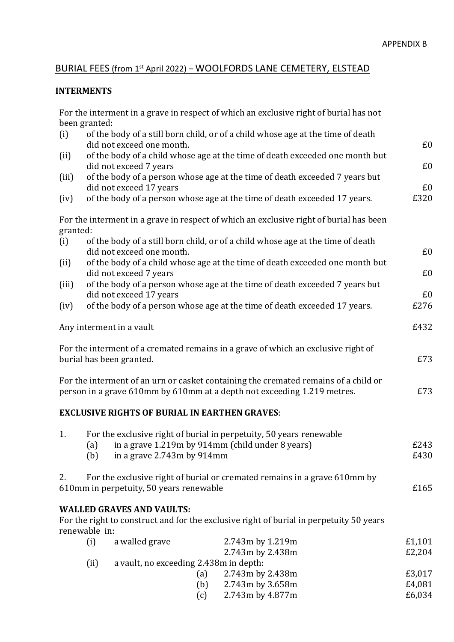## BURIAL FEES (from 1st April 2022) - WOOLFORDS LANE CEMETERY, ELSTEAD

### **INTERMENTS**

|          | been granted: |                                                                                        | For the interment in a grave in respect of which an exclusive right of burial has not                                                                          |                  |
|----------|---------------|----------------------------------------------------------------------------------------|----------------------------------------------------------------------------------------------------------------------------------------------------------------|------------------|
| (i)      |               | did not exceed one month.                                                              | of the body of a still born child, or of a child whose age at the time of death                                                                                | £0               |
| (ii)     |               | did not exceed 7 years                                                                 | of the body of a child whose age at the time of death exceeded one month but                                                                                   | £0               |
| (iii)    |               | did not exceed 17 years                                                                | of the body of a person whose age at the time of death exceeded 7 years but                                                                                    | £0               |
| (iv)     |               |                                                                                        | of the body of a person whose age at the time of death exceeded 17 years.                                                                                      | £320             |
| granted: |               |                                                                                        | For the interment in a grave in respect of which an exclusive right of burial has been                                                                         |                  |
| (i)      |               | did not exceed one month.                                                              | of the body of a still born child, or of a child whose age at the time of death                                                                                | £0               |
| (ii)     |               | did not exceed 7 years                                                                 | of the body of a child whose age at the time of death exceeded one month but                                                                                   | £0               |
| (iii)    |               | did not exceed 17 years                                                                | of the body of a person whose age at the time of death exceeded 7 years but                                                                                    | £0               |
| (iv)     |               |                                                                                        | of the body of a person whose age at the time of death exceeded 17 years.                                                                                      | £276             |
|          |               | Any interment in a vault                                                               |                                                                                                                                                                | £432             |
|          |               | burial has been granted.                                                               | For the interment of a cremated remains in a grave of which an exclusive right of                                                                              | £73              |
|          |               |                                                                                        | For the interment of an urn or casket containing the cremated remains of a child or<br>person in a grave 610mm by 610mm at a depth not exceeding 1.219 metres. | £73              |
|          |               | <b>EXCLUSIVE RIGHTS OF BURIAL IN EARTHEN GRAVES:</b>                                   |                                                                                                                                                                |                  |
| 1.       |               |                                                                                        | For the exclusive right of burial in perpetuity, 50 years renewable                                                                                            |                  |
|          | (b)           | (a) in a grave 1.219m by 914mm (child under 8 years)<br>in a grave $2.743m$ by $914mm$ |                                                                                                                                                                | £243<br>£430     |
| 2.       |               | 610mm in perpetuity, 50 years renewable                                                | For the exclusive right of burial or cremated remains in a grave 610mm by                                                                                      | £165             |
|          | renewable in: | <b>WALLED GRAVES AND VAULTS:</b>                                                       | For the right to construct and for the exclusive right of burial in perpetuity 50 years                                                                        |                  |
|          | (i)           | a walled grave                                                                         | 2.743m by 1.219m                                                                                                                                               | £1,101           |
|          |               |                                                                                        | 2.743m by 2.438m                                                                                                                                               | £2,204           |
|          | (ii)          | a vault, no exceeding 2.438m in depth:                                                 |                                                                                                                                                                |                  |
|          |               | (a)                                                                                    | 2.743m by 2.438m                                                                                                                                               | £3,017           |
|          |               | (b)<br>(c)                                                                             | 2.743m by 3.658m<br>2.743m by 4.877m                                                                                                                           | £4,081<br>£6,034 |
|          |               |                                                                                        |                                                                                                                                                                |                  |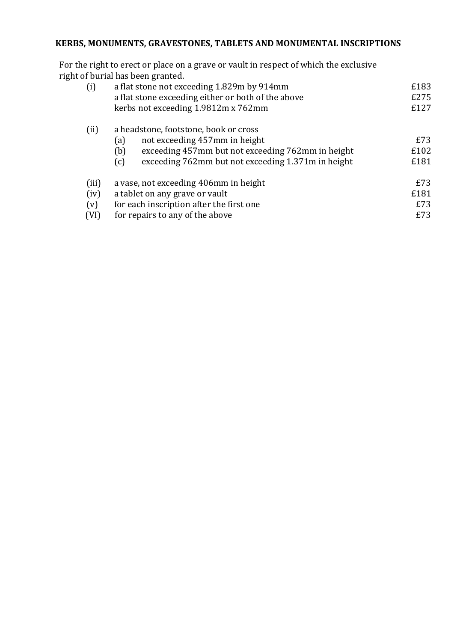## KERBS, MONUMENTS, GRAVESTONES, TABLETS AND MONUMENTAL INSCRIPTIONS

For the right to erect or place on a grave or vault in respect of which the exclusive right of burial has been granted.

| (i)                          | a flat stone not exceeding 1.829m by 914mm<br>a flat stone exceeding either or both of the above<br>kerbs not exceeding 1.9812m x 762mm                                                                | £183<br>£275<br>£127      |
|------------------------------|--------------------------------------------------------------------------------------------------------------------------------------------------------------------------------------------------------|---------------------------|
| (ii)                         | a headstone, footstone, book or cross<br>not exceeding 457mm in height<br>(a)<br>exceeding 457mm but not exceeding 762mm in height<br>(b)<br>exceeding 762mm but not exceeding 1.371m in height<br>(c) | £73<br>£102<br>£181       |
| (iii)<br>(iv)<br>(v)<br>(VI) | a vase, not exceeding 406mm in height<br>a tablet on any grave or vault<br>for each inscription after the first one<br>for repairs to any of the above                                                 | £73<br>£181<br>£73<br>£73 |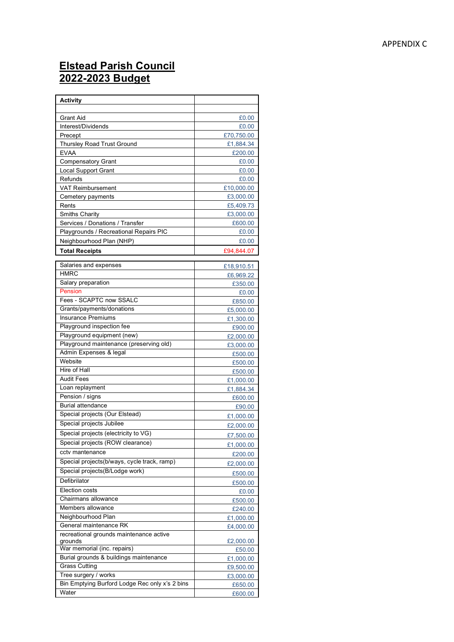# **Elstead Parish Council 202 2 -202 3 Budget**

| <b>Activity</b>                                    |                        |
|----------------------------------------------------|------------------------|
|                                                    |                        |
| <b>Grant Aid</b>                                   | £0.00                  |
| Interest/Dividends                                 | £0.00                  |
| Precept                                            | £70,750.00             |
| <b>Thursley Road Trust Ground</b>                  | £1,884.34              |
| <b>EVAA</b>                                        | £200.00                |
| <b>Compensatory Grant</b>                          | £0.00                  |
| <b>Local Support Grant</b>                         | £0.00                  |
| Refunds                                            | £0.00                  |
| <b>VAT Reimbursement</b>                           | £10,000.00             |
| Cemetery payments                                  | £3,000.00              |
| Rents                                              | £5,409.73              |
| <b>Smiths Charity</b>                              | £3,000.00              |
| Services / Donations / Transfer                    | £600.00                |
| Playgrounds / Recreational Repairs PIC             | £0.00                  |
| Neighbourhood Plan (NHP)                           | £0.00                  |
| <b>Total Receipts</b>                              | £94,844.07             |
| Salaries and expenses                              |                        |
| <b>HMRC</b>                                        | £18,910.51             |
| Salary preparation                                 | £6,969.22              |
| Pension                                            | £350.00<br>£0.00       |
| Fees - SCAPTC now SSALC                            |                        |
| Grants/payments/donations                          | £850.00                |
| <b>Insurance Premiums</b>                          | £5,000.00<br>£1,300.00 |
| Playground inspection fee                          | £900.00                |
| Playground equipment (new)                         | £2,000.00              |
| Playground maintenance (preserving old)            |                        |
| Admin Expenses & legal                             | £3,000.00<br>£500.00   |
| Website                                            | £500.00                |
| Hire of Hall                                       | £500.00                |
| <b>Audit Fees</b>                                  | £1,000.00              |
| Loan replayment                                    | £1,884.34              |
| Pension / signs                                    | £600.00                |
| <b>Burial attendance</b>                           | £90.00                 |
| Special projects (Our Elstead)                     | £1,000.00              |
| Special projects Jubilee                           | £2,000.00              |
| Special projects (electricity to VG)               | £7,500.00              |
| Special projects (ROW clearance)                   |                        |
| cctv mantenance                                    | £1,000.00              |
| Special projects(b/ways, cycle track, ramp)        | £200.00                |
|                                                    | £2,000.00              |
| Special projects(B/Lodge work)                     | £500.00                |
| Defibrilator                                       | £500.00                |
| Election costs                                     | £0.00                  |
| Chairmans allowance                                | £500.00                |
| Members allowance                                  | £240.00                |
| Neighbourhood Plan                                 | £1,000.00              |
| General maintenance RK                             | £4,000.00              |
| recreational grounds maintenance active<br>grounds | £2,000.00              |
| War memorial (inc. repairs)                        | £50.00                 |
| Burial grounds & buildings maintenance             | £1,000.00              |
| <b>Grass Cutting</b>                               | £9,500.00              |
| Tree surgery / works                               | £3,000.00              |
| Bin Emptying Burford Lodge Rec only x's 2 bins     | £650.00                |
| Water                                              | £600.00                |
|                                                    |                        |